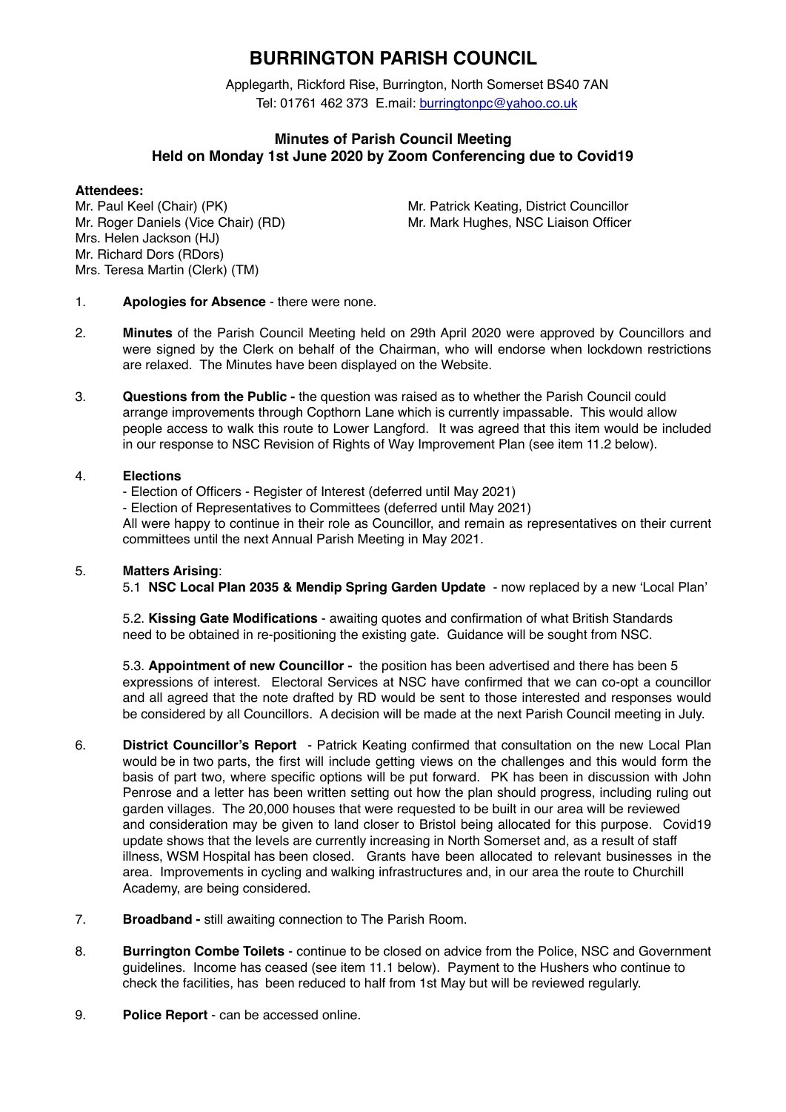## **BURRINGTON PARISH COUNCIL**

Applegarth, Rickford Rise, Burrington, North Somerset BS40 7AN Tel: 01761 462 373 E.mail: [burringtonpc@yahoo.co.uk](mailto:burringtonpc@yahoo.co.uk)

## **Minutes of Parish Council Meeting Held on Monday 1st June 2020 by Zoom Conferencing due to Covid19**

#### **Attendees:**

Mrs. Helen Jackson (HJ) Mr. Richard Dors (RDors) Mrs. Teresa Martin (Clerk) (TM)

Mr. Paul Keel (Chair) (PK) Mr. Patrick Keating, District Councillor Mr. Roger Daniels (Vice Chair) (RD) Mr. Mark Hughes, NSC Liaison Officer

- 1. **Apologies for Absence** there were none.
- 2. **Minutes** of the Parish Council Meeting held on 29th April 2020 were approved by Councillors and were signed by the Clerk on behalf of the Chairman, who will endorse when lockdown restrictions are relaxed. The Minutes have been displayed on the Website.
- 3. **Questions from the Public** the question was raised as to whether the Parish Council could arrange improvements through Copthorn Lane which is currently impassable. This would allow people access to walk this route to Lower Langford. It was agreed that this item would be included in our response to NSC Revision of Rights of Way Improvement Plan (see item 11.2 below).

#### 4. **Elections**

- Election of Officers Register of Interest (deferred until May 2021)
- Election of Representatives to Committees (deferred until May 2021)

All were happy to continue in their role as Councillor, and remain as representatives on their current committees until the next Annual Parish Meeting in May 2021.

#### 5. **Matters Arising**:

5.1 **NSC Local Plan 2035 & Mendip Spring Garden Update** - now replaced by a new 'Local Plan'

5.2. **Kissing Gate Modifications** - awaiting quotes and confirmation of what British Standards need to be obtained in re-positioning the existing gate. Guidance will be sought from NSC.

5.3. **Appointment of new Councillor -** the position has been advertised and there has been 5 expressions of interest. Electoral Services at NSC have confirmed that we can co-opt a councillor and all agreed that the note drafted by RD would be sent to those interested and responses would be considered by all Councillors. A decision will be made at the next Parish Council meeting in July.

- 6. **District Councillor's Report** Patrick Keating confirmed that consultation on the new Local Plan would be in two parts, the first will include getting views on the challenges and this would form the basis of part two, where specific options will be put forward. PK has been in discussion with John Penrose and a letter has been written setting out how the plan should progress, including ruling out garden villages. The 20,000 houses that were requested to be built in our area will be reviewed and consideration may be given to land closer to Bristol being allocated for this purpose. Covid19 update shows that the levels are currently increasing in North Somerset and, as a result of staff illness, WSM Hospital has been closed. Grants have been allocated to relevant businesses in the area. Improvements in cycling and walking infrastructures and, in our area the route to Churchill Academy, are being considered.
- 7. **Broadband** still awaiting connection to The Parish Room.
- 8. **Burrington Combe Toilets** continue to be closed on advice from the Police, NSC and Government guidelines. Income has ceased (see item 11.1 below). Payment to the Hushers who continue to check the facilities, has been reduced to half from 1st May but will be reviewed regularly.
- 9. **Police Report** can be accessed online.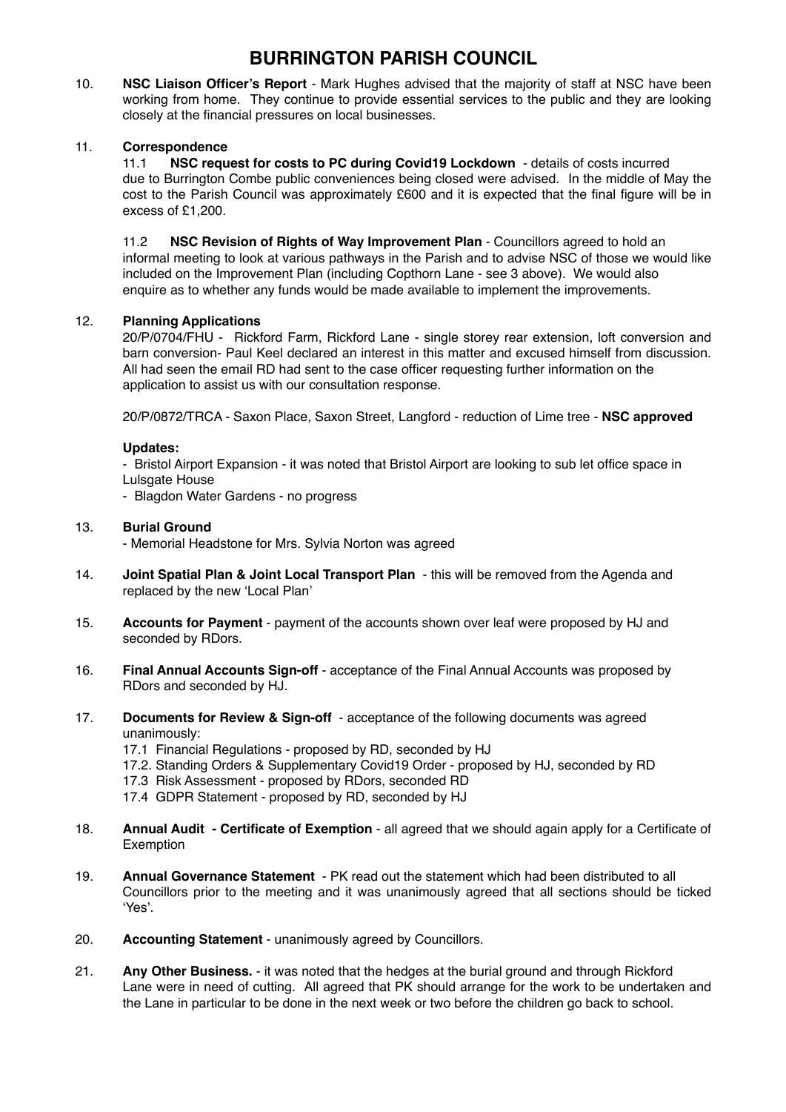# **BURRINGTON PARISH COUNCIL**

10. **NSC Liaison Officer's Report** - Mark Hughes advised that the majority of staff at NSC have been working from home. They continue to provide essential services to the public and they are looking closely at the financial pressures on local businesses.

### 11. **Correspondence**

11.1 **NSC request for costs to PC during Covid19 Lockdown** - details of costs incurred due to Burrington Combe public conveniences being closed were advised. In the middle of May the cost to the Parish Council was approximately £600 and it is expected that the final figure will be in excess of £1,200.

11.2 **NSC Revision of Rights of Way Improvement Plan** - Councillors agreed to hold an informal meeting to look at various pathways in the Parish and to advise NSC of those we would like included on the Improvement Plan (including Copthorn Lane - see 3 above). We would also enquire as to whether any funds would be made available to implement the improvements.

### 12. **Planning Applications**

20/P/0704/FHU - Rickford Farm, Rickford Lane - single storey rear extension, loft conversion and barn conversion- Paul Keel declared an interest in this matter and excused himself from discussion. All had seen the email RD had sent to the case officer requesting further information on the application to assist us with our consultation response.

20/P/0872/TRCA - Saxon Place, Saxon Street, Langford - reduction of Lime tree - **NSC approved**

### **Updates:**

- Bristol Airport Expansion - it was noted that Bristol Airport are looking to sub let office space in Lulsgate House

- Blagdon Water Gardens - no progress

### 13. **Burial Ground**

- Memorial Headstone for Mrs. Sylvia Norton was agreed

- 14. **Joint Spatial Plan & Joint Local Transport Plan** this will be removed from the Agenda and replaced by the new 'Local Plan'
- 15. **Accounts for Payment** payment of the accounts shown over leaf were proposed by HJ and seconded by RDors.
- 16. **Final Annual Accounts Sign-off** acceptance of the Final Annual Accounts was proposed by RDors and seconded by HJ.
- 17. **Documents for Review & Sign-off**  acceptance of the following documents was agreed unanimously:
	- 17.1 Financial Regulations proposed by RD, seconded by HJ
	- 17.2. Standing Orders & Supplementary Covid19 Order proposed by HJ, seconded by RD
	- 17.3 Risk Assessment proposed by RDors, seconded RD

17.4 GDPR Statement - proposed by RD, seconded by HJ

- 18. **Annual Audit Certificate of Exemption** all agreed that we should again apply for a Certificate of Exemption
- 19. **Annual Governance Statement**  PK read out the statement which had been distributed to all Councillors prior to the meeting and it was unanimously agreed that all sections should be ticked 'Yes'.
- 20. **Accounting Statement** unanimously agreed by Councillors.
- 21. **Any Other Business.**  it was noted that the hedges at the burial ground and through Rickford Lane were in need of cutting. All agreed that PK should arrange for the work to be undertaken and the Lane in particular to be done in the next week or two before the children go back to school.